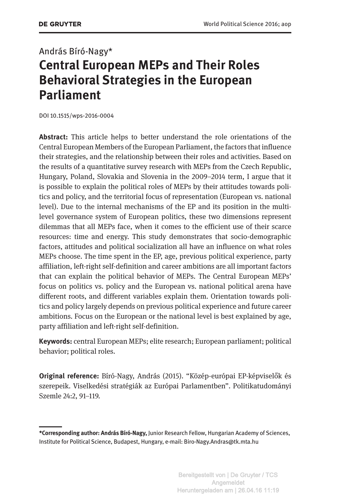# András Bíró-Nagy\* **Central European MEPs and Their Roles Behavioral Strategies in the European Parliament**

DOI 10.1515/wps-2016-0004

**Abstract:** This article helps to better understand the role orientations of the Central European Members of the European Parliament, the factors that influence their strategies, and the relationship between their roles and activities. Based on the results of a quantitative survey research with MEPs from the Czech Republic, Hungary, Poland, Slovakia and Slovenia in the 2009–2014 term, I argue that it is possible to explain the political roles of MEPs by their attitudes towards politics and policy, and the territorial focus of representation (European vs. national level). Due to the internal mechanisms of the EP and its position in the multilevel governance system of European politics, these two dimensions represent dilemmas that all MEPs face, when it comes to the efficient use of their scarce resources: time and energy. This study demonstrates that socio-demographic factors, attitudes and political socialization all have an influence on what roles MEPs choose. The time spent in the EP, age, previous political experience, party affiliation, left-right self-definition and career ambitions are all important factors that can explain the political behavior of MEPs. The Central European MEPs' focus on politics vs. policy and the European vs. national political arena have different roots, and different variables explain them. Orientation towards politics and policy largely depends on previous political experience and future career ambitions. Focus on the European or the national level is best explained by age, party affiliation and left-right self-definition.

**Keywords:** central European MEPs; elite research; European parliament; political behavior; political roles.

**Original reference:** Bíró-Nagy, András (2015). "Közép-európai EP-képviselők és szerepeik. Viselkedési stratégiák az Európai Parlamentben". Politikatudományi Szemle 24:2, 91–119.

**<sup>\*</sup>Corresponding author: András Bíró-Nagy,** Junior Research Fellow, Hungarian Academy of Sciences, Institute for Political Science, Budapest, Hungary, e-mail: [Biro-Nagy.Andras@tk.mta.hu](mailto:Biro-Nagy.Andras@tk.mta.hu)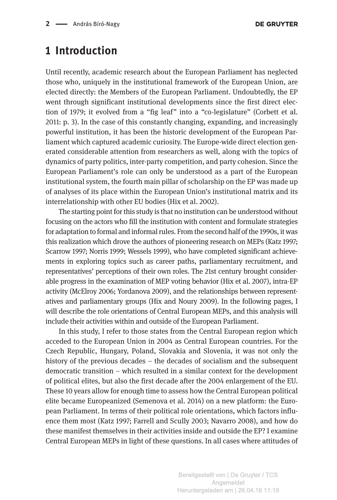## **1 Introduction**

Until recently, academic research about the European Parliament has neglected those who, uniquely in the institutional framework of the European Union, are elected directly: the Members of the European Parliament. Undoubtedly, the EP went through significant institutional developments since the first direct election of 1979; it evolved from a "fig leaf" into a "co-legislature" (Corbett et al. 2011: p. 3). In the case of this constantly changing, expanding, and increasingly powerful institution, it has been the historic development of the European Parliament which captured academic curiosity. The Europe-wide direct election generated considerable attention from researchers as well, along with the topics of dynamics of party politics, inter-party competition, and party cohesion. Since the European Parliament's role can only be understood as a part of the European institutional system, the fourth main pillar of scholarship on the EP was made up of analyses of its place within the European Union's institutional matrix and its interrelationship with other EU bodies (Hix et al. 2002).

The starting point for this study is that no institution can be understood without focusing on the actors who fill the institution with content and formulate strategies for adaptation to formal and informal rules. From the second half of the 1990s, it was this realization which drove the authors of pioneering research on MEPs (Katz 1997; Scarrow 1997; Norris 1999; Wessels 1999), who have completed significant achievements in exploring topics such as career paths, parliamentary recruitment, and representatives' perceptions of their own roles. The 21st century brought considerable progress in the examination of MEP voting behavior (Hix et al. 2007), intra-EP activity (McElroy 2006; Yordanova 2009), and the relationships between representatives and parliamentary groups (Hix and Noury 2009). In the following pages, I will describe the role orientations of Central European MEPs, and this analysis will include their activities within and outside of the European Parliament.

In this study, I refer to those states from the Central European region which acceded to the European Union in 2004 as Central European countries. For the Czech Republic, Hungary, Poland, Slovakia and Slovenia, it was not only the history of the previous decades – the decades of socialism and the subsequent democratic transition – which resulted in a similar context for the development of political elites, but also the first decade after the 2004 enlargement of the EU. These 10 years allow for enough time to assess how the Central European political elite became Europeanized (Semenova et al. 2014) on a new platform: the European Parliament. In terms of their political role orientations, which factors influence them most (Katz 1997; Farrell and Scully 2003; Navarro 2008), and how do these manifest themselves in their activities inside and outside the EP? I examine Central European MEPs in light of these questions. In all cases where attitudes of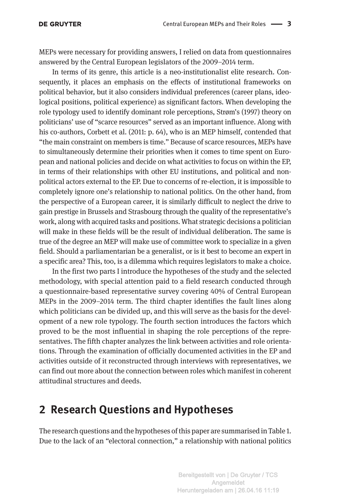MEPs were necessary for providing answers, I relied on data from questionnaires answered by the Central European legislators of the 2009–2014 term.

In terms of its genre, this article is a neo-institutionalist elite research. Consequently, it places an emphasis on the effects of institutional frameworks on political behavior, but it also considers individual preferences (career plans, ideological positions, political experience) as significant factors. When developing the role typology used to identify dominant role perceptions, Strøm's (1997) theory on politicians' use of "scarce resources" served as an important influence. Along with his co-authors, Corbett et al. (2011: p. 64), who is an MEP himself, contended that "the main constraint on members is time." Because of scarce resources, MEPs have to simultaneously determine their priorities when it comes to time spent on European and national policies and decide on what activities to focus on within the EP, in terms of their relationships with other EU institutions, and political and nonpolitical actors external to the EP. Due to concerns of re-election, it is impossible to completely ignore one's relationship to national politics. On the other hand, from the perspective of a European career, it is similarly difficult to neglect the drive to gain prestige in Brussels and Strasbourg through the quality of the representative's work, along with acquired tasks and positions. What strategic decisions a politician will make in these fields will be the result of individual deliberation. The same is true of the degree an MEP will make use of committee work to specialize in a given field. Should a parliamentarian be a generalist, or is it best to become an expert in a specific area? This, too, is a dilemma which requires legislators to make a choice.

In the first two parts I introduce the hypotheses of the study and the selected methodology, with special attention paid to a field research conducted through a questionnaire-based representative survey covering 40% of Central European MEPs in the 2009–2014 term. The third chapter identifies the fault lines along which politicians can be divided up, and this will serve as the basis for the development of a new role typology. The fourth section introduces the factors which proved to be the most influential in shaping the role perceptions of the representatives. The fifth chapter analyzes the link between activities and role orientations. Through the examination of officially documented activities in the EP and activities outside of it reconstructed through interviews with representatives, we can find out more about the connection between roles which manifest in coherent attitudinal structures and deeds.

## **2 Research Questions and Hypotheses**

The research questions and the hypotheses of this paper are summarised in Table 1. Due to the lack of an "electoral connection," a relationship with national politics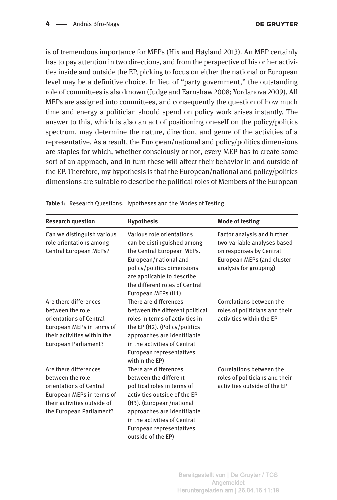is of tremendous importance for MEPs (Hix and Høyland 2013). An MEP certainly has to pay attention in two directions, and from the perspective of his or her activities inside and outside the EP, picking to focus on either the national or European level may be a definitive choice. In lieu of "party government," the outstanding role of committees is also known (Judge and Earnshaw 2008; Yordanova 2009). All MEPs are assigned into committees, and consequently the question of how much time and energy a politician should spend on policy work arises instantly. The answer to this, which is also an act of positioning oneself on the policy/politics spectrum, may determine the nature, direction, and genre of the activities of a representative. As a result, the European/national and policy/politics dimensions are staples for which, whether consciously or not, every MEP has to create some sort of an approach, and in turn these will affect their behavior in and outside of the EP. Therefore, my hypothesis is that the European/national and policy/politics dimensions are suitable to describe the political roles of Members of the European

| <b>Research question</b>                                                                                                                                     | <b>Hypothesis</b>                                                                                                                                                                                                                                          | Mode of testing                                                                                                                               |
|--------------------------------------------------------------------------------------------------------------------------------------------------------------|------------------------------------------------------------------------------------------------------------------------------------------------------------------------------------------------------------------------------------------------------------|-----------------------------------------------------------------------------------------------------------------------------------------------|
| Can we distinguish various<br>role orientations among<br><b>Central European MEPs?</b>                                                                       | Various role orientations<br>can be distinguished among<br>the Central European MEPs.<br>European/national and<br>policy/politics dimensions<br>are applicable to describe<br>the different roles of Central<br>European MEPs (H1)                         | Factor analysis and further<br>two-variable analyses based<br>on responses by Central<br>European MEPs (and cluster<br>analysis for grouping) |
| Are there differences<br>between the role<br>orientations of Central<br>European MEPs in terms of<br>their activities within the<br>European Parliament?     | There are differences<br>between the different political<br>roles in terms of activities in<br>the EP (H2). (Policy/politics<br>approaches are identifiable<br>in the activities of Central<br>European representatives<br>within the EP)                  | Correlations between the<br>roles of politicians and their<br>activities within the EP                                                        |
| Are there differences<br>between the role<br>orientations of Central<br>European MEPs in terms of<br>their activities outside of<br>the European Parliament? | There are differences<br>between the different<br>political roles in terms of<br>activities outside of the EP<br>(H3). (European/national<br>approaches are identifiable<br>in the activities of Central<br>European representatives<br>outside of the EP) | Correlations between the<br>roles of politicians and their<br>activities outside of the EP                                                    |

**Table 1:** Research Questions, Hypotheses and the Modes of Testing.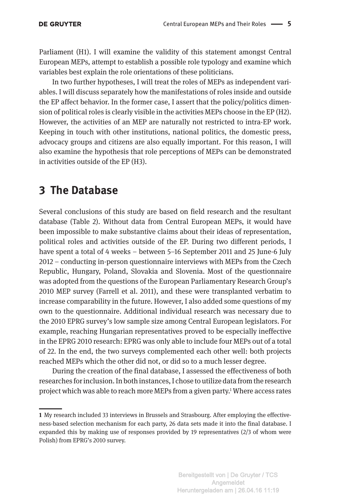Parliament (H1). I will examine the validity of this statement amongst Central European MEPs, attempt to establish a possible role typology and examine which variables best explain the role orientations of these politicians.

In two further hypotheses, I will treat the roles of MEPs as independent variables. I will discuss separately how the manifestations of roles inside and outside the EP affect behavior. In the former case, I assert that the policy/politics dimension of political roles is clearly visible in the activities MEPs choose in the EP (H2). However, the activities of an MEP are naturally not restricted to intra-EP work. Keeping in touch with other institutions, national politics, the domestic press, advocacy groups and citizens are also equally important. For this reason, I will also examine the hypothesis that role perceptions of MEPs can be demonstrated in activities outside of the EP (H3).

## **3 The Database**

Several conclusions of this study are based on field research and the resultant database (Table 2). Without data from Central European MEPs, it would have been impossible to make substantive claims about their ideas of representation, political roles and activities outside of the EP. During two different periods, I have spent a total of 4 weeks – between 5–16 September 2011 and 25 June-6 July 2012 – conducting in-person questionnaire interviews with MEPs from the Czech Republic, Hungary, Poland, Slovakia and Slovenia. Most of the questionnaire was adopted from the questions of the European Parliamentary Research Group's 2010 MEP survey (Farrell et al. 2011), and these were transplanted verbatim to increase comparability in the future. However, I also added some questions of my own to the questionnaire. Additional individual research was necessary due to the 2010 EPRG survey's low sample size among Central European legislators. For example, reaching Hungarian representatives proved to be especially ineffective in the EPRG 2010 research: EPRG was only able to include four MEPs out of a total of 22. In the end, the two surveys complemented each other well: both projects reached MEPs which the other did not, or did so to a much lesser degree.

During the creation of the final database, I assessed the effectiveness of both researches for inclusion. In both instances, I chose to utilize data from the research project which was able to reach more MEPs from a given party.<sup>1</sup> Where access rates

**<sup>1</sup>** My research included 33 interviews in Brussels and Strasbourg. After employing the effectiveness-based selection mechanism for each party, 26 data sets made it into the final database. I expanded this by making use of responses provided by 19 representatives (2/3 of whom were Polish) from EPRG's 2010 survey.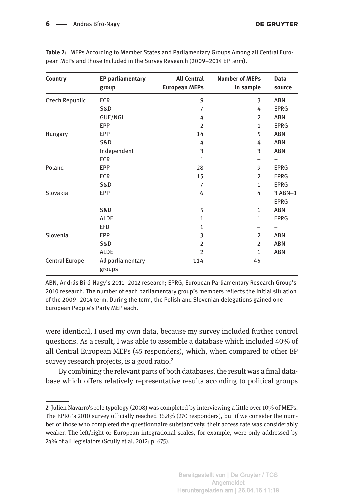| Country               | EP parliamentary<br>group   | <b>All Central</b><br><b>European MEPs</b> | <b>Number of MEPs</b><br>in sample | <b>Data</b><br>source  |
|-----------------------|-----------------------------|--------------------------------------------|------------------------------------|------------------------|
| Czech Republic        | <b>ECR</b>                  | 9                                          | 3                                  | <b>ABN</b>             |
|                       | <b>S&amp;D</b>              | 7                                          | 4                                  | <b>EPRG</b>            |
|                       | GUE/NGL                     | 4                                          | $\overline{2}$                     | ABN                    |
|                       | <b>EPP</b>                  | $\overline{2}$                             | $\mathbf{1}$                       | <b>EPRG</b>            |
| Hungary               | <b>EPP</b>                  | 14                                         | 5                                  | <b>ABN</b>             |
|                       | <b>S&amp;D</b>              | 4                                          | 4                                  | <b>ABN</b>             |
|                       | Independent                 | 3                                          | 3                                  | ABN                    |
|                       | <b>ECR</b>                  | 1                                          |                                    |                        |
| Poland                | EPP                         | 28                                         | 9                                  | <b>EPRG</b>            |
|                       | <b>ECR</b>                  | 15                                         | $\overline{2}$                     | <b>EPRG</b>            |
|                       | <b>S&amp;D</b>              | 7                                          | $\mathbf{1}$                       | <b>EPRG</b>            |
| Slovakia              | <b>EPP</b>                  | 6                                          | 4                                  | 3 ABN+1<br><b>EPRG</b> |
|                       | <b>S&amp;D</b>              | 5                                          | 1                                  | <b>ABN</b>             |
|                       | <b>ALDE</b>                 | 1                                          | 1                                  | <b>EPRG</b>            |
|                       | <b>EFD</b>                  | 1                                          |                                    |                        |
| Slovenia              | <b>EPP</b>                  | 3                                          | 2                                  | <b>ABN</b>             |
|                       | <b>S&amp;D</b>              | $\overline{2}$                             | $\overline{2}$                     | <b>ABN</b>             |
|                       | <b>ALDE</b>                 | 2                                          | 1                                  | <b>ABN</b>             |
| <b>Central Europe</b> | All parliamentary<br>groups | 114                                        | 45                                 |                        |

**Table 2:** MEPs According to Member States and Parliamentary Groups Among all Central European MEPs and those Included in the Survey Research (2009–2014 EP term).

ABN, András Bíró-Nagy's 2011–2012 research; EPRG, European Parliamentary Research Group's 2010 research. The number of each parliamentary group's members reflects the initial situation of the 2009–2014 term. During the term, the Polish and Slovenian delegations gained one European People's Party MEP each.

were identical, I used my own data, because my survey included further control questions. As a result, I was able to assemble a database which included 40% of all Central European MEPs (45 responders), which, when compared to other EP survey research projects, is a good ratio.<sup>2</sup>

By combining the relevant parts of both databases, the result was a final database which offers relatively representative results according to political groups

**<sup>2</sup>** Julien Navarro's role typology (2008) was completed by interviewing a little over 10% of MEPs. The EPRG's 2010 survey officially reached 36.8% (270 responders), but if we consider the number of those who completed the questionnaire substantively, their access rate was considerably weaker. The left/right or European integrational scales, for example, were only addressed by 24% of all legislators (Scully et al. 2012: p. 675).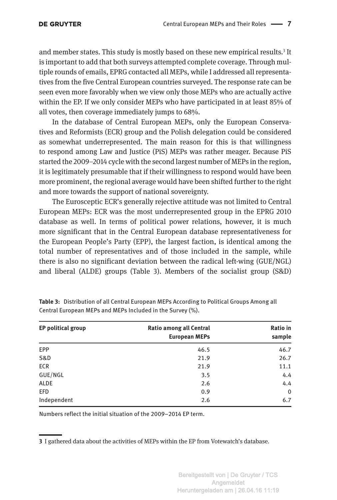and member states. This study is mostly based on these new empirical results.<sup>3</sup> It is important to add that both surveys attempted complete coverage. Through multiple rounds of emails, EPRG contacted all MEPs, while I addressed all representatives from the five Central European countries surveyed. The response rate can be seen even more favorably when we view only those MEPs who are actually active within the EP. If we only consider MEPs who have participated in at least 85% of all votes, then coverage immediately jumps to 68%.

In the database of Central European MEPs, only the European Conservatives and Reformists (ECR) group and the Polish delegation could be considered as somewhat underrepresented. The main reason for this is that willingness to respond among Law and Justice (PiS) MEPs was rather meager. Because PiS started the 2009–2014 cycle with the second largest number of MEPs in the region, it is legitimately presumable that if their willingness to respond would have been more prominent, the regional average would have been shifted further to the right and more towards the support of national sovereignty.

The Eurosceptic ECR's generally rejective attitude was not limited to Central European MEPs: ECR was the most underrepresented group in the EPRG 2010 database as well. In terms of political power relations, however, it is much more significant that in the Central European database representativeness for the European People's Party (EPP), the largest faction, is identical among the total number of representatives and of those included in the sample, while there is also no significant deviation between the radical left-wing (GUE/NGL) and liberal (ALDE) groups (Table 3). Members of the socialist group (S&D)

| EP political group | <b>Ratio among all Central</b><br><b>European MEPs</b> | Ratio in<br>sample |
|--------------------|--------------------------------------------------------|--------------------|
| <b>EPP</b>         | 46.5                                                   | 46.7               |
| <b>S&amp;D</b>     | 21.9                                                   | 26.7               |
| <b>ECR</b>         | 21.9                                                   | 11.1               |
| GUE/NGL            | 3.5                                                    | 4.4                |
| <b>ALDE</b>        | 2.6                                                    | 4.4                |
| <b>EFD</b>         | 0.9                                                    | $\mathbf{0}$       |
| Independent        | 2.6                                                    | 6.7                |

**Table 3:** Distribution of all Central European MEPs According to Political Groups Among all Central European MEPs and MEPs Included in the Survey (%).

Numbers reflect the initial situation of the 2009–2014 EP term.

**3** I gathered data about the activities of MEPs within the EP from Votewatch's database.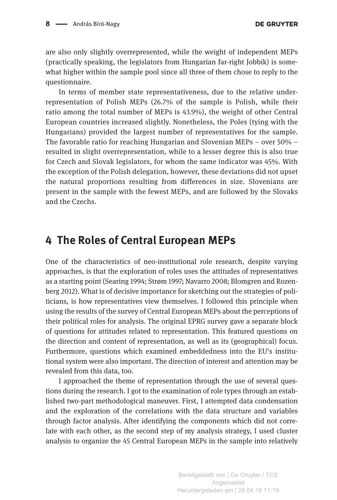are also only slightly overrepresented, while the weight of independent MEPs (practically speaking, the legislators from Hungarian far-right Jobbik) is somewhat higher within the sample pool since all three of them chose to reply to the questionnaire.

In terms of member state representativeness, due to the relative underrepresentation of Polish MEPs (26.7% of the sample is Polish, while their ratio among the total number of MEPs is 43.9%), the weight of other Central European countries increased slightly. Nonetheless, the Poles (tying with the Hungarians) provided the largest number of representatives for the sample. The favorable ratio for reaching Hungarian and Slovenian MEPs – over 50% – resulted in slight overrepresentation, while to a lesser degree this is also true for Czech and Slovak legislators, for whom the same indicator was 45%. With the exception of the Polish delegation, however, these deviations did not upset the natural proportions resulting from differences in size. Slovenians are present in the sample with the fewest MEPs, and are followed by the Slovaks and the Czechs.

### **4 The Roles of Central European MEPs**

One of the characteristics of neo-institutional role research, despite varying approaches, is that the exploration of roles uses the attitudes of representatives as a starting point (Searing 1994; Strøm 1997; Navarro 2008; Blomgren and Rozenberg 2012). What is of decisive importance for sketching out the strategies of politicians, is how representatives view themselves. I followed this principle when using the results of the survey of Central European MEPs about the perceptions of their political roles for analysis. The original EPRG survey gave a separate block of questions for attitudes related to representation. This featured questions on the direction and content of representation, as well as its (geographical) focus. Furthermore, questions which examined embeddedness into the EU's institutional system were also important. The direction of interest and attention may be revealed from this data, too.

I approached the theme of representation through the use of several questions during the research. I got to the examination of role types through an established two-part methodological maneuver. First, I attempted data condensation and the exploration of the correlations with the data structure and variables through factor analysis. After identifying the components which did not correlate with each other, as the second step of my analysis strategy, I used cluster analysis to organize the 45 Central European MEPs in the sample into relatively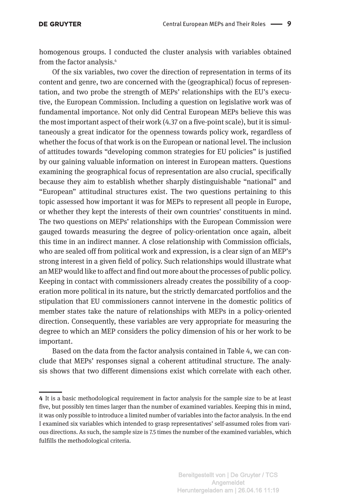homogenous groups. I conducted the cluster analysis with variables obtained from the factor analysis.4

Of the six variables, two cover the direction of representation in terms of its content and genre, two are concerned with the (geographical) focus of representation, and two probe the strength of MEPs' relationships with the EU's executive, the European Commission. Including a question on legislative work was of fundamental importance. Not only did Central European MEPs believe this was the most important aspect of their work (4.37 on a five-point scale), but it is simultaneously a great indicator for the openness towards policy work, regardless of whether the focus of that work is on the European or national level. The inclusion of attitudes towards "developing common strategies for EU policies" is justified by our gaining valuable information on interest in European matters. Questions examining the geographical focus of representation are also crucial, specifically because they aim to establish whether sharply distinguishable "national" and "European" attitudinal structures exist. The two questions pertaining to this topic assessed how important it was for MEPs to represent all people in Europe, or whether they kept the interests of their own countries' constituents in mind. The two questions on MEPs' relationships with the European Commission were gauged towards measuring the degree of policy-orientation once again, albeit this time in an indirect manner. A close relationship with Commission officials, who are sealed off from political work and expression, is a clear sign of an MEP's strong interest in a given field of policy. Such relationships would illustrate what an MEP would like to affect and find out more about the processes of public policy. Keeping in contact with commissioners already creates the possibility of a cooperation more political in its nature, but the strictly demarcated portfolios and the stipulation that EU commissioners cannot intervene in the domestic politics of member states take the nature of relationships with MEPs in a policy-oriented direction. Consequently, these variables are very appropriate for measuring the degree to which an MEP considers the policy dimension of his or her work to be important.

Based on the data from the factor analysis contained in Table 4, we can conclude that MEPs' responses signal a coherent attitudinal structure. The analysis shows that two different dimensions exist which correlate with each other.

**<sup>4</sup>** It is a basic methodological requirement in factor analysis for the sample size to be at least five, but possibly ten times larger than the number of examined variables. Keeping this in mind, it was only possible to introduce a limited number of variables into the factor analysis. In the end I examined six variables which intended to grasp representatives' self-assumed roles from various directions. As such, the sample size is 7.5 times the number of the examined variables, which fulfills the methodological criteria.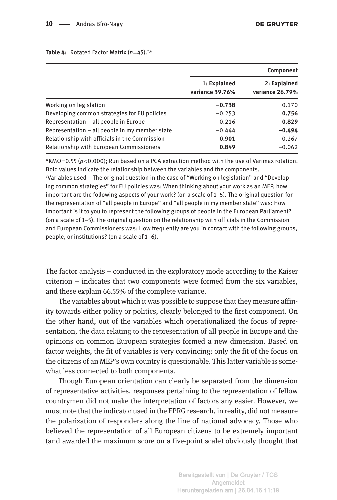|                                                |                                 | Component                       |
|------------------------------------------------|---------------------------------|---------------------------------|
|                                                | 1: Explained<br>variance 39.76% | 2: Explained<br>variance 26.79% |
| Working on legislation                         | $-0.738$                        | 0.170                           |
| Developing common strategies for EU policies   | $-0.253$                        | 0.756                           |
| Representation - all people in Europe          | $-0.216$                        | 0.829                           |
| Representation - all people in my member state | $-0.444$                        | $-0.494$                        |
| Relationship with officials in the Commission  | 0.901                           | $-0.267$                        |
| Relationship with European Commissioners       | 0.849                           | $-0.062$                        |

#### **Table 4:** Rotated Factor Matrix (*n*= 45).\*,a

\*KMO = 0.55 (*p*< 0.000); Run based on a PCA extraction method with the use of Varimax rotation. Bold values indicate the relationship between the variables and the components. a Variables used – The original question in the case of "Working on legislation" and "Developing common strategies" for EU policies was: When thinking about your work as an MEP, how important are the following aspects of your work? (on a scale of 1–5). The original question for the representation of "all people in Europe" and "all people in my member state" was: How important is it to you to represent the following groups of people in the European Parliament? (on a scale of 1–5). The original question on the relationship with officials in the Commission and European Commissioners was: How frequently are you in contact with the following groups, people, or institutions? (on a scale of 1–6).

The factor analysis – conducted in the exploratory mode according to the Kaiser criterion – indicates that two components were formed from the six variables, and these explain 66.55% of the complete variance.

The variables about which it was possible to suppose that they measure affinity towards either policy or politics, clearly belonged to the first component. On the other hand, out of the variables which operationalized the focus of representation, the data relating to the representation of all people in Europe and the opinions on common European strategies formed a new dimension. Based on factor weights, the fit of variables is very convincing: only the fit of the focus on the citizens of an MEP's own country is questionable. This latter variable is somewhat less connected to both components.

Though European orientation can clearly be separated from the dimension of representative activities, responses pertaining to the representation of fellow countrymen did not make the interpretation of factors any easier. However, we must note that the indicator used in the EPRG research, in reality, did not measure the polarization of responders along the line of national advocacy. Those who believed the representation of all European citizens to be extremely important (and awarded the maximum score on a five-point scale) obviously thought that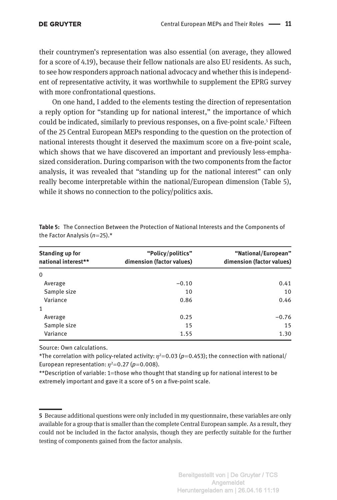their countrymen's representation was also essential (on average, they allowed for a score of 4.19), because their fellow nationals are also EU residents. As such, to see how responders approach national advocacy and whether this is independent of representative activity, it was worthwhile to supplement the EPRG survey with more confrontational questions.

On one hand, I added to the elements testing the direction of representation a reply option for "standing up for national interest," the importance of which could be indicated, similarly to previous responses, on a five-point scale.<sup>5</sup> Fifteen of the 25 Central European MEPs responding to the question on the protection of national interests thought it deserved the maximum score on a five-point scale, which shows that we have discovered an important and previously less-emphasized consideration. During comparison with the two components from the factor analysis, it was revealed that "standing up for the national interest" can only really become interpretable within the national/European dimension (Table 5), while it shows no connection to the policy/politics axis.

| Standing up for<br>national interest** | "Policy/politics"<br>dimension (factor values) | "National/European"<br>dimension (factor values) |
|----------------------------------------|------------------------------------------------|--------------------------------------------------|
| $\Omega$                               |                                                |                                                  |
| Average                                | $-0.10$                                        | 0.41                                             |
| Sample size                            | 10                                             | 10                                               |
| Variance                               | 0.86                                           | 0.46                                             |
|                                        |                                                |                                                  |
| Average                                | 0.25                                           | $-0.76$                                          |
| Sample size                            | 15                                             | 15                                               |
| Variance                               | 1.55                                           | 1.30                                             |

**Table 5:** The Connection Between the Protection of National Interests and the Components of the Factor Analysis (*n*= 25).\*

Source: Own calculations.

\*The correlation with policy-related activity:  $\eta^2 = 0.03$  ( $p = 0.453$ ); the connection with national/ European representation:  $\eta^2$ =0.27 ( $p$ =0.008).

\*\*Description of variable: 1 = those who thought that standing up for national interest to be extremely important and gave it a score of 5 on a five-point scale.

**<sup>5</sup>** Because additional questions were only included in my questionnaire, these variables are only available for a group that is smaller than the complete Central European sample. As a result, they could not be included in the factor analysis, though they are perfectly suitable for the further testing of components gained from the factor analysis.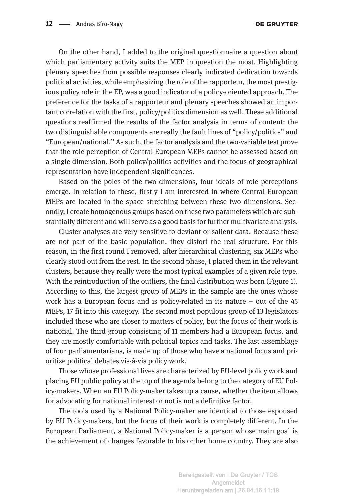On the other hand, I added to the original questionnaire a question about which parliamentary activity suits the MEP in question the most. Highlighting plenary speeches from possible responses clearly indicated dedication towards political activities, while emphasizing the role of the rapporteur, the most prestigious policy role in the EP, was a good indicator of a policy-oriented approach. The preference for the tasks of a rapporteur and plenary speeches showed an important correlation with the first, policy/politics dimension as well. These additional questions reaffirmed the results of the factor analysis in terms of content: the two distinguishable components are really the fault lines of "policy/politics" and "European/national." As such, the factor analysis and the two-variable test prove that the role perception of Central European MEPs cannot be assessed based on a single dimension. Both policy/politics activities and the focus of geographical representation have independent significances.

Based on the poles of the two dimensions, four ideals of role perceptions emerge. In relation to these, firstly I am interested in where Central European MEPs are located in the space stretching between these two dimensions. Secondly, I create homogenous groups based on these two parameters which are substantially different and will serve as a good basis for further multivariate analysis.

Cluster analyses are very sensitive to deviant or salient data. Because these are not part of the basic population, they distort the real structure. For this reason, in the first round I removed, after hierarchical clustering, six MEPs who clearly stood out from the rest. In the second phase, I placed them in the relevant clusters, because they really were the most typical examples of a given role type. With the reintroduction of the outliers, the final distribution was born (Figure 1). According to this, the largest group of MEPs in the sample are the ones whose work has a European focus and is policy-related in its nature – out of the 45 MEPs, 17 fit into this category. The second most populous group of 13 legislators included those who are closer to matters of policy, but the focus of their work is national. The third group consisting of 11 members had a European focus, and they are mostly comfortable with political topics and tasks. The last assemblage of four parliamentarians, is made up of those who have a national focus and prioritize political debates vis-à-vis policy work.

Those whose professional lives are characterized by EU-level policy work and placing EU public policy at the top of the agenda belong to the category of EU Policy-makers. When an EU Policy-maker takes up a cause, whether the item allows for advocating for national interest or not is not a definitive factor.

The tools used by a National Policy-maker are identical to those espoused by EU Policy-makers, but the focus of their work is completely different. In the European Parliament, a National Policy-maker is a person whose main goal is the achievement of changes favorable to his or her home country. They are also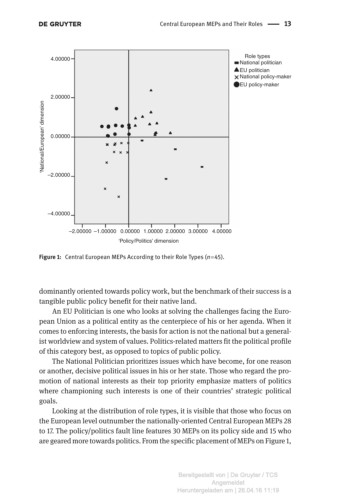

**Figure 1:** Central European MEPs According to their Role Types (*n*= 45).

dominantly oriented towards policy work, but the benchmark of their success is a tangible public policy benefit for their native land.

An EU Politician is one who looks at solving the challenges facing the European Union as a political entity as the centerpiece of his or her agenda. When it comes to enforcing interests, the basis for action is not the national but a generalist worldview and system of values. Politics-related matters fit the political profile of this category best, as opposed to topics of public policy.

The National Politician prioritizes issues which have become, for one reason or another, decisive political issues in his or her state. Those who regard the promotion of national interests as their top priority emphasize matters of politics where championing such interests is one of their countries' strategic political goals.

Looking at the distribution of role types, it is visible that those who focus on the European level outnumber the nationally-oriented Central European MEPs 28 to 17. The policy/politics fault line features 30 MEPs on its policy side and 15 who are geared more towards politics. From the specific placement of MEPs on Figure 1,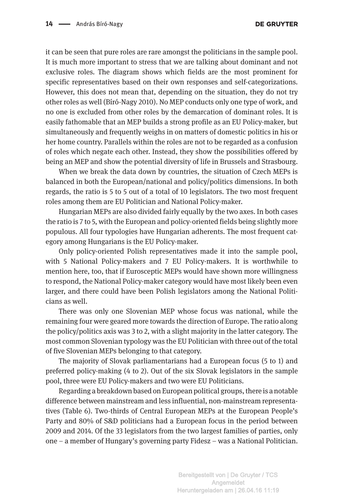it can be seen that pure roles are rare amongst the politicians in the sample pool. It is much more important to stress that we are talking about dominant and not exclusive roles. The diagram shows which fields are the most prominent for specific representatives based on their own responses and self-categorizations. However, this does not mean that, depending on the situation, they do not try other roles as well (Bíró-Nagy 2010). No MEP conducts only one type of work, and no one is excluded from other roles by the demarcation of dominant roles. It is easily fathomable that an MEP builds a strong profile as an EU Policy-maker, but simultaneously and frequently weighs in on matters of domestic politics in his or her home country. Parallels within the roles are not to be regarded as a confusion of roles which negate each other. Instead, they show the possibilities offered by being an MEP and show the potential diversity of life in Brussels and Strasbourg.

When we break the data down by countries, the situation of Czech MEPs is balanced in both the European/national and policy/politics dimensions. In both regards, the ratio is 5 to 5 out of a total of 10 legislators. The two most frequent roles among them are EU Politician and National Policy-maker.

Hungarian MEPs are also divided fairly equally by the two axes. In both cases the ratio is 7 to 5, with the European and policy-oriented fields being slightly more populous. All four typologies have Hungarian adherents. The most frequent category among Hungarians is the EU Policy-maker.

Only policy-oriented Polish representatives made it into the sample pool, with 5 National Policy-makers and 7 EU Policy-makers. It is worthwhile to mention here, too, that if Eurosceptic MEPs would have shown more willingness to respond, the National Policy-maker category would have most likely been even larger, and there could have been Polish legislators among the National Politicians as well.

There was only one Slovenian MEP whose focus was national, while the remaining four were geared more towards the direction of Europe. The ratio along the policy/politics axis was 3 to 2, with a slight majority in the latter category. The most common Slovenian typology was the EU Politician with three out of the total of five Slovenian MEPs belonging to that category.

The majority of Slovak parliamentarians had a European focus (5 to 1) and preferred policy-making (4 to 2). Out of the six Slovak legislators in the sample pool, three were EU Policy-makers and two were EU Politicians.

Regarding a breakdown based on European political groups, there is a notable difference between mainstream and less influential, non-mainstream representatives (Table 6). Two-thirds of Central European MEPs at the European People's Party and 80% of S&D politicians had a European focus in the period between 2009 and 2014. Of the 33 legislators from the two largest families of parties, only one – a member of Hungary's governing party Fidesz – was a National Politician.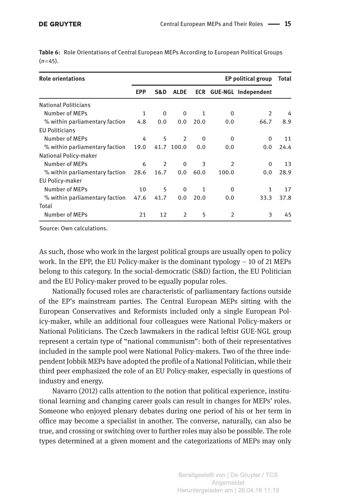| <b>Role orientations</b>       |            |                |                |             |                | <b>EP</b> political group      | Total |
|--------------------------------|------------|----------------|----------------|-------------|----------------|--------------------------------|-------|
|                                | <b>EPP</b> | <b>S&amp;D</b> | <b>ALDE</b>    |             |                | <b>ECR GUE-NGL Independent</b> |       |
| <b>National Politicians</b>    |            |                |                |             |                |                                |       |
| Number of MEPs                 | 1          | $\Omega$       | $\Omega$       | 1           | $\Omega$       | 2                              | 4     |
| % within parliamentary faction | 4.8        | 0.0            | 0.0            | 20.0        | 0.0            | 66.7                           | 8.9   |
| <b>EU Politicians</b>          |            |                |                |             |                |                                |       |
| Number of MEPs                 | 4          | 5              | $\overline{2}$ | $\mathbf 0$ | $\Omega$       | 0                              | 11    |
| % within parliamentary faction | 19.0       |                | 41.7 100.0     | 0.0         | 0.0            | 0.0                            | 24.4  |
| National Policy-maker          |            |                |                |             |                |                                |       |
| Number of MEPs                 | 6          | $\overline{2}$ | $\Omega$       | 3           | $\mathcal{P}$  | $\Omega$                       | 13    |
| % within parliamentary faction | 28.6       | 16.7           | 0.0            | 60.0        | 100.0          | 0.0                            | 28.9  |
| EU Policy-maker                |            |                |                |             |                |                                |       |
| Number of MEPs                 | 10         | 5              | $\Omega$       | 1           | $\Omega$       | 1                              | 17    |
| % within parliamentary faction | 47.6       | 41.7           | 0.0            | 20.0        | 0.0            | 33.3                           | 37.8  |
| Total                          |            |                |                |             |                |                                |       |
| Number of MEPs                 | 21         | 12             | $\overline{2}$ | 5           | $\overline{2}$ | 3                              | 45    |

**Table 6:** Role Orientations of Central European MEPs According to European Political Groups  $(n=45)$ .

Source: Own calculations.

As such, those who work in the largest political groups are usually open to policy work. In the EPP, the EU Policy-maker is the dominant typology – 10 of 21 MEPs belong to this category. In the social-democratic (S&D) faction, the EU Politician and the EU Policy-maker proved to be equally popular roles.

Nationally focused roles are characteristic of parliamentary factions outside of the EP's mainstream parties. The Central European MEPs sitting with the European Conservatives and Reformists included only a single European Policy-maker, while an additional four colleagues were National Policy-makers or National Politicians. The Czech lawmakers in the radical leftist GUE-NGL group represent a certain type of "national communism": both of their representatives included in the sample pool were National Policy-makers. Two of the three independent Jobbik MEPs have adopted the profile of a National Politician, while their third peer emphasized the role of an EU Policy-maker, especially in questions of industry and energy.

Navarro (2012) calls attention to the notion that political experience, institutional learning and changing career goals can result in changes for MEPs' roles. Someone who enjoyed plenary debates during one period of his or her term in office may become a specialist in another. The converse, naturally, can also be true, and crossing or switching over to further roles may also be possible. The role types determined at a given moment and the categorizations of MEPs may only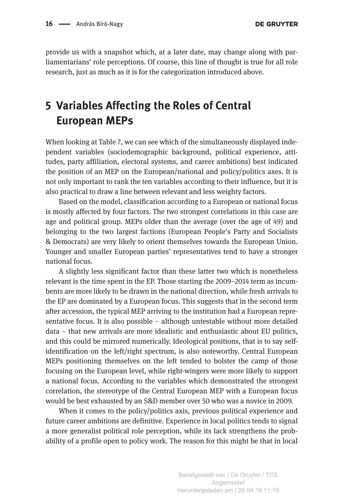provide us with a snapshot which, at a later date, may change along with parliamentarians' role perceptions. Of course, this line of thought is true for all role research, just as much as it is for the categorization introduced above.

# **5 Variables Affecting the Roles of Central European MEPs**

When looking at Table 7, we can see which of the simultaneously displayed independent variables (sociodemographic background, political experience, attitudes, party affiliation, electoral systems, and career ambitions) best indicated the position of an MEP on the European/national and policy/politics axes. It is not only important to rank the ten variables according to their influence, but it is also practical to draw a line between relevant and less weighty factors.

Based on the model, classification according to a European or national focus is mostly affected by four factors. The two strongest correlations in this case are age and political group. MEPs older than the average (over the age of 49) and belonging to the two largest factions (European People's Party and Socialists & Democrats) are very likely to orient themselves towards the European Union. Younger and smaller European parties' representatives tend to have a stronger national focus.

A slightly less significant factor than these latter two which is nonetheless relevant is the time spent in the EP. Those starting the 2009–2014 term as incumbents are more likely to be drawn in the national direction, while fresh arrivals to the EP are dominated by a European focus. This suggests that in the second term after accession, the typical MEP arriving to the institution had a European representative focus. It is also possible – although untestable without more detailed data – that new arrivals are more idealistic and enthusiastic about EU politics, and this could be mirrored numerically. Ideological positions, that is to say selfidentification on the left/right spectrum, is also noteworthy. Central European MEPs positioning themselves on the left tended to bolster the camp of those focusing on the European level, while right-wingers were more likely to support a national focus. According to the variables which demonstrated the strongest correlation, the stereotype of the Central European MEP with a European focus would be best exhausted by an S&D member over 50 who was a novice in 2009.

When it comes to the policy/politics axis, previous political experience and future career ambitions are definitive. Experience in local politics tends to signal a more generalist political role perception, while its lack strengthens the probability of a profile open to policy work. The reason for this might be that in local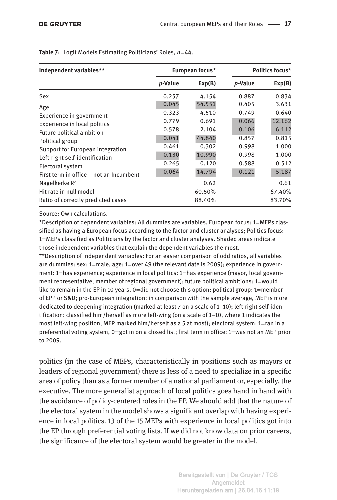| Independent variables**                                     |                 | European focus* | Politics focus* |        |  |
|-------------------------------------------------------------|-----------------|-----------------|-----------------|--------|--|
|                                                             | <i>p</i> -Value | Exp(B)          | <i>p</i> -Value | Exp(B) |  |
| Sex                                                         | 0.257           | 4.154           | 0.887           | 0.834  |  |
| Age                                                         | 0.045           | 54.551          | 0.405           | 3.631  |  |
| Experience in government                                    | 0.323           | 4.510           | 0.749           | 0.640  |  |
| Experience in local politics                                | 0.779           | 0.691           | 0.066           | 12.162 |  |
| Future political ambition                                   | 0.578           | 2.104           | 0.106           | 6.112  |  |
| Political group                                             | 0.041           | 44.840          | 0.857           | 0.815  |  |
| Support for European integration                            | 0.461           | 0.302           | 0.998           | 1.000  |  |
| Left-right self-identification                              | 0.130           | 10.990          | 0.998           | 1.000  |  |
|                                                             | 0.265           | 0.120           | 0.588           | 0.512  |  |
| Electoral system<br>First term in office – not an Incumbent | 0.064           | 14.794          | 0.121           | 5.187  |  |
| Nagelkerke R <sup>2</sup>                                   |                 | 0.62            |                 | 0.61   |  |
| Hit rate in null model                                      |                 | 60.50%          |                 | 67.40% |  |
| Ratio of correctly predicted cases                          |                 | 88.40%          |                 | 83.70% |  |

**Table 7:** Logit Models Estimating Politicians' Roles, *n*= 44.

Source: Own calculations.

\*Description of dependent variables: All dummies are variables. European focus: 1 = MEPs classified as having a European focus according to the factor and cluster analyses; Politics focus: 1 = MEPs classified as Politicians by the factor and cluster analyses. Shaded areas indicate those independent variables that explain the dependent variables the most.

\*\*Description of independent variables: For an easier comparison of odd ratios, all variables are dummies: sex: 1 = male, age: 1 = over 49 (the relevant date is 2009); experience in government: 1 = has experience; experience in local politics: 1 = has experience (mayor, local government representative, member of regional government); future political ambitions: 1 = would like to remain in the EP in 10 years, 0=did not choose this option; political group: 1=member of EPP or S&D; pro-European integration: in comparison with the sample average, MEP is more dedicated to deepening integration (marked at least 7 on a scale of 1–10); left-right self-identification: classified him/herself as more left-wing (on a scale of 1–10, where 1 indicates the most left-wing position, MEP marked him/herself as a 5 at most); electoral system: 1 = ran in a preferential voting system, 0 = got in on a closed list; first term in office: 1 = was not an MEP prior to 2009.

politics (in the case of MEPs, characteristically in positions such as mayors or leaders of regional government) there is less of a need to specialize in a specific area of policy than as a former member of a national parliament or, especially, the executive. The more generalist approach of local politics goes hand in hand with the avoidance of policy-centered roles in the EP. We should add that the nature of the electoral system in the model shows a significant overlap with having experience in local politics. 13 of the 15 MEPs with experience in local politics got into the EP through preferential voting lists. If we did not know data on prior careers, the significance of the electoral system would be greater in the model.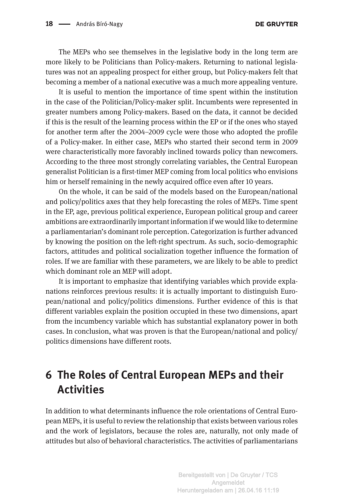The MEPs who see themselves in the legislative body in the long term are more likely to be Politicians than Policy-makers. Returning to national legislatures was not an appealing prospect for either group, but Policy-makers felt that becoming a member of a national executive was a much more appealing venture.

It is useful to mention the importance of time spent within the institution in the case of the Politician/Policy-maker split. Incumbents were represented in greater numbers among Policy-makers. Based on the data, it cannot be decided if this is the result of the learning process within the EP or if the ones who stayed for another term after the 2004–2009 cycle were those who adopted the profile of a Policy-maker. In either case, MEPs who started their second term in 2009 were characteristically more favorably inclined towards policy than newcomers. According to the three most strongly correlating variables, the Central European generalist Politician is a first-timer MEP coming from local politics who envisions him or herself remaining in the newly acquired office even after 10 years.

On the whole, it can be said of the models based on the European/national and policy/politics axes that they help forecasting the roles of MEPs. Time spent in the EP, age, previous political experience, European political group and career ambitions are extraordinarily important information if we would like to determine a parliamentarian's dominant role perception. Categorization is further advanced by knowing the position on the left-right spectrum. As such, socio-demographic factors, attitudes and political socialization together influence the formation of roles. If we are familiar with these parameters, we are likely to be able to predict which dominant role an MEP will adopt.

It is important to emphasize that identifying variables which provide explanations reinforces previous results: it is actually important to distinguish European/national and policy/politics dimensions. Further evidence of this is that different variables explain the position occupied in these two dimensions, apart from the incumbency variable which has substantial explanatory power in both cases. In conclusion, what was proven is that the European/national and policy/ politics dimensions have different roots.

# **6 The Roles of Central European MEPs and their Activities**

In addition to what determinants influence the role orientations of Central European MEPs, it is useful to review the relationship that exists between various roles and the work of legislators, because the roles are, naturally, not only made of attitudes but also of behavioral characteristics. The activities of parliamentarians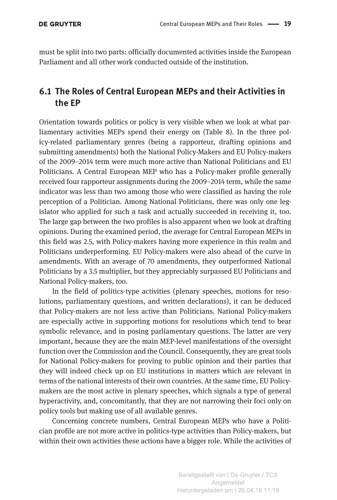must be split into two parts: officially documented activities inside the European Parliament and all other work conducted outside of the institution.

#### **6.1 The Roles of Central European MEPs and their Activities in the EP**

Orientation towards politics or policy is very visible when we look at what parliamentary activities MEPs spend their energy on (Table 8). In the three policy-related parliamentary genres (being a rapporteur, drafting opinions and submitting amendments) both the National Policy-Makers and EU Policy-makers of the 2009–2014 term were much more active than National Politicians and EU Politicians. A Central European MEP who has a Policy-maker profile generally received four rapporteur assignments during the 2009–2014 term, while the same indicator was less than two among those who were classified as having the role perception of a Politician. Among National Politicians, there was only one legislator who applied for such a task and actually succeeded in receiving it, too. The large gap between the two profiles is also apparent when we look at drafting opinions. During the examined period, the average for Central European MEPs in this field was 2.5, with Policy-makers having more experience in this realm and Politicians underperforming. EU Policy-makers were also ahead of the curve in amendments. With an average of 70 amendments, they outperformed National Politicians by a 3.5 multiplier, but they appreciably surpassed EU Politicians and National Policy-makers, too.

In the field of politics-type activities (plenary speeches, motions for resolutions, parliamentary questions, and written declarations), it can be deduced that Policy-makers are not less active than Politicians. National Policy-makers are especially active in supporting motions for resolutions which tend to bear symbolic relevance, and in posing parliamentary questions. The latter are very important, because they are the main MEP-level manifestations of the oversight function over the Commission and the Council. Consequently, they are great tools for National Policy-makers for proving to public opinion and their parties that they will indeed check up on EU institutions in matters which are relevant in terms of the national interests of their own countries. At the same time, EU Policymakers are the most active in plenary speeches, which signals a type of general hyperactivity, and, concomitantly, that they are not narrowing their foci only on policy tools but making use of all available genres.

Concerning concrete numbers, Central European MEPs who have a Politician profile are not more active in politics-type activities than Policy-makers, but within their own activities these actions have a bigger role. While the activities of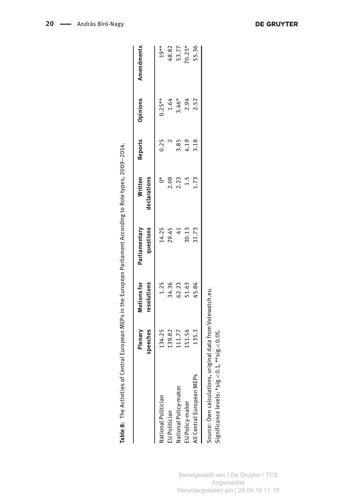|                                                                                       | Plenary<br>speeches            | <b>Motions for</b><br>resolutions | questions<br>Parliamentary | Written<br>declarations | <b>Reports</b> | Opinions        | Amendments                         |
|---------------------------------------------------------------------------------------|--------------------------------|-----------------------------------|----------------------------|-------------------------|----------------|-----------------|------------------------------------|
| National Politician                                                                   | 134.25                         | 1.25                              | 14.25                      | $\zeta$                 | 0.25           | $0.25**$        | $19**$                             |
| EU Politician                                                                         |                                |                                   | 29.45                      | 2.09                    |                |                 | $48.82$<br>53.77<br>53.77<br>55.36 |
| National Policy-maker                                                                 | 139.82<br>111.77               | 34.36<br>62.23                    | 41                         | 2.23                    | 3.85           | $1.64$<br>3.46* |                                    |
| EU Policy-maker                                                                       | 151.56                         | 51.63                             | 30.13                      | 1.5                     | 4.19           | 2.94            |                                    |
| <b>WEPs</b><br>All Central European P                                                 | 135.3                          | 45.86                             | 31.73                      | 1.73                    | 3.18           | 2.52            |                                    |
| Source: Own calculations, original data from Votewatch.eu.<br>Significance levels: *s | $sig. < 0.1, ** sig. < 0.05$ . |                                   |                            |                         |                |                 |                                    |

**Table 8:** The Activities of Central European MEPs in the European Parliament According to Role types, 2009–2014.

Table 8: The Activities of Central European MEPs in the European Parliament According to Role types, 2009-2014.

Bereitgestellt von | De Gruyter / TCS Angemeldet Heruntergeladen am | 26.04.16 11:19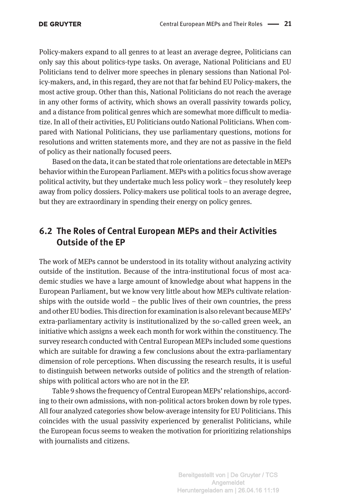Policy-makers expand to all genres to at least an average degree, Politicians can only say this about politics-type tasks. On average, National Politicians and EU Politicians tend to deliver more speeches in plenary sessions than National Policy-makers, and, in this regard, they are not that far behind EU Policy-makers, the most active group. Other than this, National Politicians do not reach the average in any other forms of activity, which shows an overall passivity towards policy, and a distance from political genres which are somewhat more difficult to mediatize. In all of their activities, EU Politicians outdo National Politicians. When compared with National Politicians, they use parliamentary questions, motions for resolutions and written statements more, and they are not as passive in the field of policy as their nationally focused peers.

Based on the data, it can be stated that role orientations are detectable in MEPs behavior within the European Parliament. MEPs with a politics focus show average political activity, but they undertake much less policy work – they resolutely keep away from policy dossiers. Policy-makers use political tools to an average degree, but they are extraordinary in spending their energy on policy genres.

#### **6.2 The Roles of Central European MEPs and their Activities Outside of the EP**

The work of MEPs cannot be understood in its totality without analyzing activity outside of the institution. Because of the intra-institutional focus of most academic studies we have a large amount of knowledge about what happens in the European Parliament, but we know very little about how MEPs cultivate relationships with the outside world – the public lives of their own countries, the press and other EU bodies. This direction for examination is also relevant because MEPs' extra-parliamentary activity is institutionalized by the so-called green week, an initiative which assigns a week each month for work within the constituency. The survey research conducted with Central European MEPs included some questions which are suitable for drawing a few conclusions about the extra-parliamentary dimension of role perceptions. When discussing the research results, it is useful to distinguish between networks outside of politics and the strength of relationships with political actors who are not in the EP.

Table 9 shows the frequency of Central European MEPs' relationships, according to their own admissions, with non-political actors broken down by role types. All four analyzed categories show below-average intensity for EU Politicians. This coincides with the usual passivity experienced by generalist Politicians, while the European focus seems to weaken the motivation for prioritizing relationships with journalists and citizens.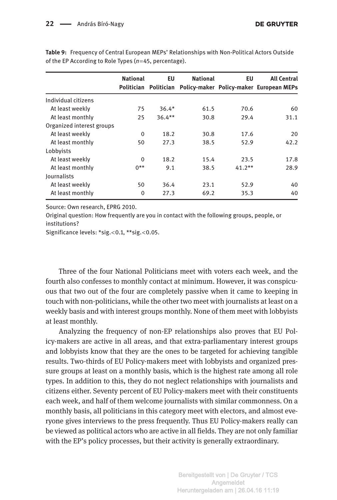|                           | <b>National</b> | <b>EU</b> | <b>National</b> | EU       | <b>All Central</b><br>Politician Politician Policy-maker Policy-maker European MEPs |
|---------------------------|-----------------|-----------|-----------------|----------|-------------------------------------------------------------------------------------|
| Individual citizens       |                 |           |                 |          |                                                                                     |
| At least weekly           | 75              | $36.4*$   | 61.5            | 70.6     | 60                                                                                  |
| At least monthly          | 25              | $36.4**$  | 30.8            | 29.4     | 31.1                                                                                |
| Organized interest groups |                 |           |                 |          |                                                                                     |
| At least weekly           | $\Omega$        | 18.2      | 30.8            | 17.6     | 20                                                                                  |
| At least monthly          | 50              | 27.3      | 38.5            | 52.9     | 42.2                                                                                |
| Lobbyists                 |                 |           |                 |          |                                                                                     |
| At least weekly           | $\Omega$        | 18.2      | 15.4            | 23.5     | 17.8                                                                                |
| At least monthly          | $0***$          | 9.1       | 38.5            | $41.2**$ | 28.9                                                                                |
| <b>lournalists</b>        |                 |           |                 |          |                                                                                     |
| At least weekly           | 50              | 36.4      | 23.1            | 52.9     | 40                                                                                  |
| At least monthly          | 0               | 27.3      | 69.2            | 35.3     | 40                                                                                  |

**Table 9:** Frequency of Central European MEPs' Relationships with Non-Political Actors Outside of the EP According to Role Types (*n*= 45, percentage).

Source: Own research, EPRG 2010.

Original question: How frequently are you in contact with the following groups, people, or institutions?

Significance levels: \*sig.<0.1, \*\*sig.<0.05.

Three of the four National Politicians meet with voters each week, and the fourth also confesses to monthly contact at minimum. However, it was conspicuous that two out of the four are completely passive when it came to keeping in touch with non-politicians, while the other two meet with journalists at least on a weekly basis and with interest groups monthly. None of them meet with lobbyists at least monthly.

Analyzing the frequency of non-EP relationships also proves that EU Policy-makers are active in all areas, and that extra-parliamentary interest groups and lobbyists know that they are the ones to be targeted for achieving tangible results. Two-thirds of EU Policy-makers meet with lobbyists and organized pressure groups at least on a monthly basis, which is the highest rate among all role types. In addition to this, they do not neglect relationships with journalists and citizens either. Seventy percent of EU Policy-makers meet with their constituents each week, and half of them welcome journalists with similar commonness. On a monthly basis, all politicians in this category meet with electors, and almost everyone gives interviews to the press frequently. Thus EU Policy-makers really can be viewed as political actors who are active in all fields. They are not only familiar with the EP's policy processes, but their activity is generally extraordinary.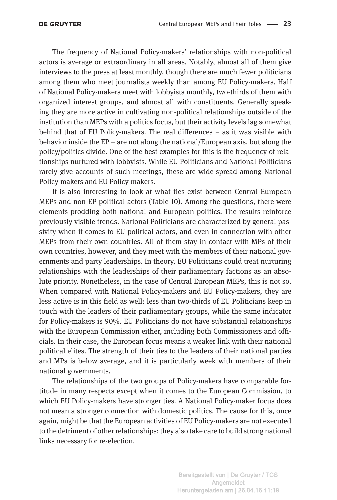#### **DE GRUYTER**

The frequency of National Policy-makers' relationships with non-political actors is average or extraordinary in all areas. Notably, almost all of them give interviews to the press at least monthly, though there are much fewer politicians among them who meet journalists weekly than among EU Policy-makers. Half of National Policy-makers meet with lobbyists monthly, two-thirds of them with organized interest groups, and almost all with constituents. Generally speaking they are more active in cultivating non-political relationships outside of the institution than MEPs with a politics focus, but their activity levels lag somewhat behind that of EU Policy-makers. The real differences – as it was visible with behavior inside the EP – are not along the national/European axis, but along the policy/politics divide. One of the best examples for this is the frequency of relationships nurtured with lobbyists. While EU Politicians and National Politicians rarely give accounts of such meetings, these are wide-spread among National Policy-makers and EU Policy-makers.

It is also interesting to look at what ties exist between Central European MEPs and non-EP political actors (Table 10). Among the questions, there were elements prodding both national and European politics. The results reinforce previously visible trends. National Politicians are characterized by general passivity when it comes to EU political actors, and even in connection with other MEPs from their own countries. All of them stay in contact with MPs of their own countries, however, and they meet with the members of their national governments and party leaderships. In theory, EU Politicians could treat nurturing relationships with the leaderships of their parliamentary factions as an absolute priority. Nonetheless, in the case of Central European MEPs, this is not so. When compared with National Policy-makers and EU Policy-makers, they are less active is in this field as well: less than two-thirds of EU Politicians keep in touch with the leaders of their parliamentary groups, while the same indicator for Policy-makers is 90%. EU Politicians do not have substantial relationships with the European Commission either, including both Commissioners and officials. In their case, the European focus means a weaker link with their national political elites. The strength of their ties to the leaders of their national parties and MPs is below average, and it is particularly week with members of their national governments.

The relationships of the two groups of Policy-makers have comparable fortitude in many respects except when it comes to the European Commission, to which EU Policy-makers have stronger ties. A National Policy-maker focus does not mean a stronger connection with domestic politics. The cause for this, once again, might be that the European activities of EU Policy-makers are not executed to the detriment of other relationships; they also take care to build strong national links necessary for re-election.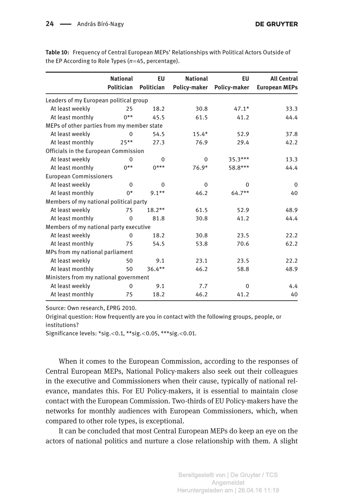|                                            | <b>National</b><br><b>Politician</b> | EU<br>Politician | <b>National</b><br><b>Policy-maker</b> | EU<br>Policy-maker | <b>All Central</b><br><b>European MEPs</b> |
|--------------------------------------------|--------------------------------------|------------------|----------------------------------------|--------------------|--------------------------------------------|
| Leaders of my European political group     |                                      |                  |                                        |                    |                                            |
| At least weekly                            | 25                                   | 18.2             | 30.8                                   | $47.1*$            | 33.3                                       |
| At least monthly                           | $0***$                               | 45.5             | 61.5                                   | 41.2               | 44.4                                       |
| MEPs of other parties from my member state |                                      |                  |                                        |                    |                                            |
| At least weekly                            | $\mathbf{0}$                         | 54.5             | $15.4*$                                | 52.9               | 37.8                                       |
| At least monthly                           | $25**$                               | 27.3             | 76.9                                   | 29.4               | 42.2                                       |
| Officials in the European Commission       |                                      |                  |                                        |                    |                                            |
| At least weekly                            | $\Omega$                             | $\Omega$         | $\Omega$                               | $35.3***$          | 13.3                                       |
| At least monthly                           | $0***$                               | $0***$           | $76.9*$                                | 58.8***            | 44.4                                       |
| <b>European Commissioners</b>              |                                      |                  |                                        |                    |                                            |
| At least weekly                            | $\Omega$                             | $\Omega$         | $\Omega$                               | $\Omega$           | $\Omega$                                   |
| At least monthly                           | $0^*$                                | $9.1**$          | 46.2                                   | $64.7**$           | 40                                         |
| Members of my national political party     |                                      |                  |                                        |                    |                                            |
| At least weekly                            | 75                                   | $18.2**$         | 61.5                                   | 52.9               | 48.9                                       |
| At least monthly                           | $\mathbf{0}$                         | 81.8             | 30.8                                   | 41.2               | 44.4                                       |
| Members of my national party executive     |                                      |                  |                                        |                    |                                            |
| At least weekly                            | $\Omega$                             | 18.2             | 30.8                                   | 23.5               | 22.2                                       |
| At least monthly                           | 75                                   | 54.5             | 53.8                                   | 70.6               | 62.2                                       |
| MPs from my national parliament            |                                      |                  |                                        |                    |                                            |
| At least weekly                            | 50                                   | 9.1              | 23.1                                   | 23.5               | 22.2                                       |
| At least monthly                           | 50                                   | $36.4***$        | 46.2                                   | 58.8               | 48.9                                       |
| Ministers from my national government      |                                      |                  |                                        |                    |                                            |
| At least weekly                            | $\mathbf 0$                          | 9.1              | 7.7                                    | $\Omega$           | 4.4                                        |
| At least monthly                           | 75                                   | 18.2             | 46.2                                   | 41.2               | 40                                         |

**Table 10:** Frequency of Central European MEPs' Relationships with Political Actors Outside of the EP According to Role Types (*n*= 45, percentage).

Source: Own research, EPRG 2010.

Original question: How frequently are you in contact with the following groups, people, or institutions?

Significance levels: \*sig. < 0.1, \*\*sig. < 0.05, \*\*\*sig. < 0.01.

When it comes to the European Commission, according to the responses of Central European MEPs, National Policy-makers also seek out their colleagues in the executive and Commissioners when their cause, typically of national relevance, mandates this. For EU Policy-makers, it is essential to maintain close contact with the European Commission. Two-thirds of EU Policy-makers have the networks for monthly audiences with European Commissioners, which, when compared to other role types, is exceptional.

It can be concluded that most Central European MEPs do keep an eye on the actors of national politics and nurture a close relationship with them. A slight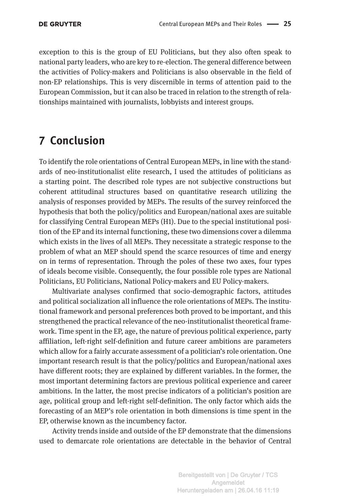exception to this is the group of EU Politicians, but they also often speak to national party leaders, who are key to re-election. The general difference between the activities of Policy-makers and Politicians is also observable in the field of non-EP relationships. This is very discernible in terms of attention paid to the European Commission, but it can also be traced in relation to the strength of relationships maintained with journalists, lobbyists and interest groups.

# **7 Conclusion**

To identify the role orientations of Central European MEPs, in line with the standards of neo-institutionalist elite research, I used the attitudes of politicians as a starting point. The described role types are not subjective constructions but coherent attitudinal structures based on quantitative research utilizing the analysis of responses provided by MEPs. The results of the survey reinforced the hypothesis that both the policy/politics and European/national axes are suitable for classifying Central European MEPs (H1). Due to the special institutional position of the EP and its internal functioning, these two dimensions cover a dilemma which exists in the lives of all MEPs. They necessitate a strategic response to the problem of what an MEP should spend the scarce resources of time and energy on in terms of representation. Through the poles of these two axes, four types of ideals become visible. Consequently, the four possible role types are National Politicians, EU Politicians, National Policy-makers and EU Policy-makers.

Multivariate analyses confirmed that socio-demographic factors, attitudes and political socialization all influence the role orientations of MEPs. The institutional framework and personal preferences both proved to be important, and this strengthened the practical relevance of the neo-institutionalist theoretical framework. Time spent in the EP, age, the nature of previous political experience, party affiliation, left-right self-definition and future career ambitions are parameters which allow for a fairly accurate assessment of a politician's role orientation. One important research result is that the policy/politics and European/national axes have different roots; they are explained by different variables. In the former, the most important determining factors are previous political experience and career ambitions. In the latter, the most precise indicators of a politician's position are age, political group and left-right self-definition. The only factor which aids the forecasting of an MEP's role orientation in both dimensions is time spent in the EP, otherwise known as the incumbency factor.

Activity trends inside and outside of the EP demonstrate that the dimensions used to demarcate role orientations are detectable in the behavior of Central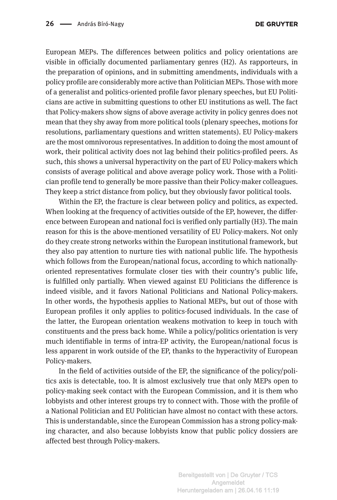European MEPs. The differences between politics and policy orientations are visible in officially documented parliamentary genres (H2). As rapporteurs, in the preparation of opinions, and in submitting amendments, individuals with a policy profile are considerably more active than Politician MEPs. Those with more of a generalist and politics-oriented profile favor plenary speeches, but EU Politicians are active in submitting questions to other EU institutions as well. The fact that Policy-makers show signs of above average activity in policy genres does not mean that they shy away from more political tools (plenary speeches, motions for resolutions, parliamentary questions and written statements). EU Policy-makers are the most omnivorous representatives. In addition to doing the most amount of work, their political activity does not lag behind their politics-profiled peers. As such, this shows a universal hyperactivity on the part of EU Policy-makers which consists of average political and above average policy work. Those with a Politician profile tend to generally be more passive than their Policy-maker colleagues. They keep a strict distance from policy, but they obviously favor political tools.

Within the EP, the fracture is clear between policy and politics, as expected. When looking at the frequency of activities outside of the EP, however, the difference between European and national foci is verified only partially (H3). The main reason for this is the above-mentioned versatility of EU Policy-makers. Not only do they create strong networks within the European institutional framework, but they also pay attention to nurture ties with national public life. The hypothesis which follows from the European/national focus, according to which nationallyoriented representatives formulate closer ties with their country's public life, is fulfilled only partially. When viewed against EU Politicians the difference is indeed visible, and it favors National Politicians and National Policy-makers. In other words, the hypothesis applies to National MEPs, but out of those with European profiles it only applies to politics-focused individuals. In the case of the latter, the European orientation weakens motivation to keep in touch with constituents and the press back home. While a policy/politics orientation is very much identifiable in terms of intra-EP activity, the European/national focus is less apparent in work outside of the EP, thanks to the hyperactivity of European Policy-makers.

In the field of activities outside of the EP, the significance of the policy/politics axis is detectable, too. It is almost exclusively true that only MEPs open to policy-making seek contact with the European Commission, and it is them who lobbyists and other interest groups try to connect with. Those with the profile of a National Politician and EU Politician have almost no contact with these actors. This is understandable, since the European Commission has a strong policy-making character, and also because lobbyists know that public policy dossiers are affected best through Policy-makers.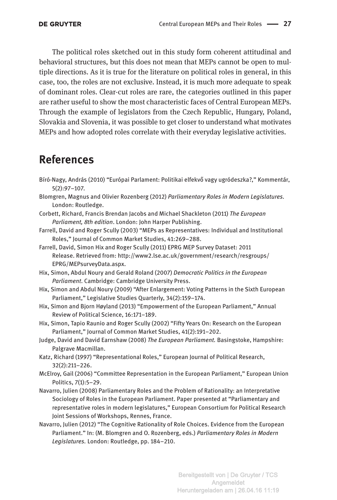The political roles sketched out in this study form coherent attitudinal and behavioral structures, but this does not mean that MEPs cannot be open to multiple directions. As it is true for the literature on political roles in general, in this case, too, the roles are not exclusive. Instead, it is much more adequate to speak of dominant roles. Clear-cut roles are rare, the categories outlined in this paper are rather useful to show the most characteristic faces of Central European MEPs. Through the example of legislators from the Czech Republic, Hungary, Poland, Slovakia and Slovenia, it was possible to get closer to understand what motivates MEPs and how adopted roles correlate with their everyday legislative activities.

### **References**

- Bíró-Nagy, András (2010) "Európai Parlament: Politikai elfekvő vagy ugródeszka?," Kommentár, 5(2):97–107.
- Blomgren, Magnus and Olivier Rozenberg (2012) *Parliamentary Roles in Modern Legislatures.* London: Routledge.
- Corbett, Richard, Francis Brendan Jacobs and Michael Shackleton (2011) *The European Parliament, 8th edition*. London: John Harper Publishing.
- Farrell, David and Roger Scully (2003) "MEPs as Representatives: Individual and Institutional Roles," Journal of Common Market Studies, 41:269–288.
- Farrell, David, Simon Hix and Roger Scully (2011) EPRG MEP Survey Dataset: 2011 Release. Retrieved from: [http://www2.lse.ac.uk/government/research/resgroups/](http://www2.lse.ac.uk/government/research/resgroups/EPRG/MEPsurveyData.aspx) [EPRG/MEPsurveyData.aspx.](http://www2.lse.ac.uk/government/research/resgroups/EPRG/MEPsurveyData.aspx)
- Hix, Simon, Abdul Noury and Gerald Roland (2007) *Democratic Politics in the European Parliament*. Cambridge: Cambridge University Press.
- Hix, Simon and Abdul Noury (2009) "After Enlargement: Voting Patterns in the Sixth European Parliament," Legislative Studies Quarterly, 34(2):159–174.
- Hix, Simon and Bjorn Høyland (2013) "Empowerment of the European Parliament," Annual Review of Political Science, 16:171–189.
- Hix, Simon, Tapio Raunio and Roger Scully (2002) "Fifty Years On: Research on the European Parliament," Journal of Common Market Studies, 41(2):191–202.
- Judge, David and David Earnshaw (2008) *The European Parliament.* Basingstoke, Hampshire: Palgrave Macmillan.
- Katz, Richard (1997) "Representational Roles," European Journal of Political Research, 32(2):211–226.
- McElroy, Gail (2006) "Committee Representation in the European Parliament," European Union Politics, 7(1):5–29.
- Navarro, Julien (2008) Parliamentary Roles and the Problem of Rationality: an Interpretative Sociology of Roles in the European Parliament. Paper presented at "Parliamentary and representative roles in modern legislatures," European Consortium for Political Research Joint Sessions of Workshops, Rennes, France.
- Navarro, Julien (2012) "The Cognitive Rationality of Role Choices. Evidence from the European Parliament." In: (M. Blomgren and O. Rozenberg, eds.) *Parliamentary Roles in Modern Legislatures.* London: Routledge, pp. 184–210.